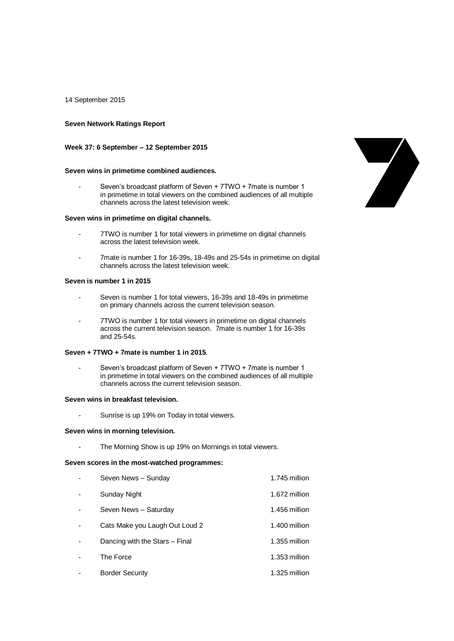14 September 2015

## **Seven Network Ratings Report**

### **Week 37: 6 September – 12 September 2015**

### **Seven wins in primetime combined audiences.**

Seven's broadcast platform of Seven + 7TWO + 7mate is number 1 in primetime in total viewers on the combined audiences of all multiple channels across the latest television week.

### **Seven wins in primetime on digital channels.**

- 7TWO is number 1 for total viewers in primetime on digital channels across the latest television week.
- 7mate is number 1 for 16-39s, 18-49s and 25-54s in primetime on digital channels across the latest television week.

## **Seven is number 1 in 2015**

- Seven is number 1 for total viewers, 16-39s and 18-49s in primetime on primary channels across the current television season.
- 7TWO is number 1 for total viewers in primetime on digital channels across the current television season. 7mate is number 1 for 16-39s and 25-54s.

#### **Seven + 7TWO + 7mate is number 1 in 2015**.

Seven's broadcast platform of Seven + 7TWO + 7mate is number 1 in primetime in total viewers on the combined audiences of all multiple channels across the current television season.

### **Seven wins in breakfast television.**

- Sunrise is up 19% on Today in total viewers.

#### **Seven wins in morning television.**

- The Morning Show is up 19% on Mornings in total viewers.

### **Seven scores in the most-watched programmes:**

| Seven News - Sunday            | 1.745 million |
|--------------------------------|---------------|
| Sunday Night                   | 1.672 million |
| Seven News - Saturday          | 1.456 million |
| Cats Make you Laugh Out Loud 2 | 1.400 million |
| Dancing with the Stars - Final | 1.355 million |
| The Force                      | 1.353 million |
| <b>Border Security</b>         | 1.325 million |

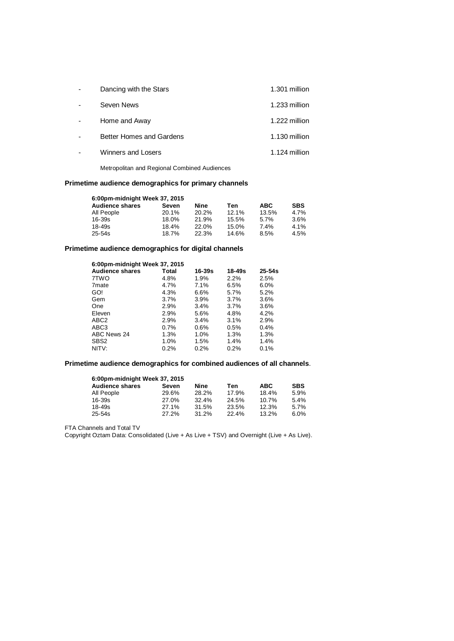| Dancing with the Stars          | 1.301 million |
|---------------------------------|---------------|
| Seven News                      | 1.233 million |
| Home and Away                   | 1.222 million |
| <b>Better Homes and Gardens</b> | 1.130 million |
| Winners and Losers              | 1.124 million |
|                                 |               |

Metropolitan and Regional Combined Audiences

# **Primetime audience demographics for primary channels**

| 6:00pm-midnight Week 37, 2015 |          |       |       |            |            |  |  |
|-------------------------------|----------|-------|-------|------------|------------|--|--|
| <b>Audience shares</b>        | Seven    | Nine  | Ten   | <b>ABC</b> | <b>SBS</b> |  |  |
| All People                    | $20.1\%$ | 20.2% | 12.1% | 13.5%      | 4.7%       |  |  |
| 16-39s                        | 18.0%    | 21.9% | 15.5% | 5.7%       | 3.6%       |  |  |
| 18-49s                        | 18.4%    | 22.0% | 15.0% | 7.4%       | 4.1%       |  |  |
| 25-54s                        | 18.7%    | 22.3% | 14.6% | 8.5%       | 4.5%       |  |  |

# **Primetime audience demographics for digital channels**

| 6:00pm-midnight Week 37, 2015 |         |        |        |            |  |
|-------------------------------|---------|--------|--------|------------|--|
| <b>Audience shares</b>        | Total   | 16-39s | 18-49s | $25 - 54s$ |  |
| 7TWO                          | 4.8%    | 1.9%   | 2.2%   | 2.5%       |  |
| 7 <sub>mate</sub>             | 4.7%    | 7.1%   | 6.5%   | 6.0%       |  |
| GO!                           | 4.3%    | 6.6%   | 5.7%   | 5.2%       |  |
| Gem                           | 3.7%    | 3.9%   | 3.7%   | 3.6%       |  |
| One                           | 2.9%    | 3.4%   | 3.7%   | 3.6%       |  |
| Eleven                        | 2.9%    | 5.6%   | 4.8%   | 4.2%       |  |
| ABC <sub>2</sub>              | 2.9%    | 3.4%   | 3.1%   | 2.9%       |  |
| ABC <sub>3</sub>              | $0.7\%$ | 0.6%   | 0.5%   | $0.4\%$    |  |
| ABC News 24                   | 1.3%    | 1.0%   | 1.3%   | 1.3%       |  |
| SBS <sub>2</sub>              | $1.0\%$ | 1.5%   | 1.4%   | 1.4%       |  |
| NITV:                         | 0.2%    | 0.2%   | 0.2%   | 0.1%       |  |
|                               |         |        |        |            |  |

# **Primetime audience demographics for combined audiences of all channels**.

| 6:00pm-midnight Week 37, 2015 |       |       |       |            |            |  |  |
|-------------------------------|-------|-------|-------|------------|------------|--|--|
| <b>Audience shares</b>        | Seven | Nine  | Ten   | <b>ABC</b> | <b>SBS</b> |  |  |
| All People                    | 29.6% | 28.2% | 17.9% | 18.4%      | 5.9%       |  |  |
| 16-39s                        | 27.0% | 32.4% | 24.5% | 10.7%      | 5.4%       |  |  |
| 18-49s                        | 27.1% | 31.5% | 23.5% | 12.3%      | 5.7%       |  |  |
| 25-54s                        | 27.2% | 31.2% | 22.4% | $13.2\%$   | 6.0%       |  |  |

FTA Channels and Total TV

Copyright Oztam Data: Consolidated (Live + As Live + TSV) and Overnight (Live + As Live).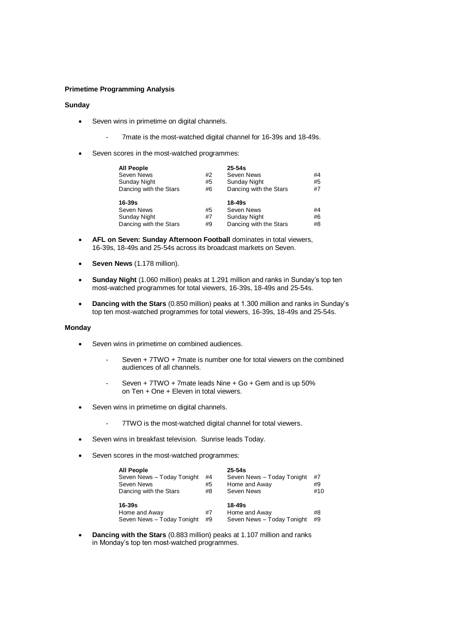## **Primetime Programming Analysis**

## **Sunday**

- Seven wins in primetime on digital channels.
	- 7mate is the most-watched digital channel for 16-39s and 18-49s.
- Seven scores in the most-watched programmes:

| <b>All People</b>      |    | $25 - 54s$             |    |
|------------------------|----|------------------------|----|
| Seven News             | #2 | Seven News             | #4 |
| <b>Sunday Night</b>    | #5 | <b>Sunday Night</b>    | #5 |
| Dancing with the Stars | #6 | Dancing with the Stars | #7 |
|                        |    |                        |    |
|                        |    |                        |    |
| $16 - 39s$             |    | $18 - 49s$             |    |
| Seven News             | #5 | Seven News             | #4 |
| <b>Sunday Night</b>    | #7 | <b>Sunday Night</b>    | #6 |

- **AFL on Seven: Sunday Afternoon Football** dominates in total viewers, 16-39s, 18-49s and 25-54s across its broadcast markets on Seven.
- **Seven News** (1.178 million).
- **Sunday Night** (1.060 million) peaks at 1.291 million and ranks in Sunday's top ten most-watched programmes for total viewers, 16-39s, 18-49s and 25-54s.
- **Dancing with the Stars** (0.850 million) peaks at 1.300 million and ranks in Sunday's top ten most-watched programmes for total viewers, 16-39s, 18-49s and 25-54s.

### **Monday**

- Seven wins in primetime on combined audiences.
	- Seven  $+ 7TWO + 7$  mate is number one for total viewers on the combined audiences of all channels.
	- Seven + 7TWO + 7mate leads Nine + Go + Gem and is up 50% on Ten + One + Eleven in total viewers.
- Seven wins in primetime on digital channels.
	- 7TWO is the most-watched digital channel for total viewers.
- Seven wins in breakfast television. Sunrise leads Today.
- Seven scores in the most-watched programmes:

| <b>All People</b><br>Seven News - Today Tonight<br>Seven News<br>Dancing with the Stars | #4<br>#5<br>#8 | $25 - 54s$<br>Seven News - Today Tonight<br>Home and Away<br>Seven News | #7<br>#9<br>#10 |
|-----------------------------------------------------------------------------------------|----------------|-------------------------------------------------------------------------|-----------------|
| $16 - 39s$<br>Home and Away<br>Seven News - Today Tonight                               | #7<br>#9       | $18 - 49s$<br>Home and Away<br>Seven News - Today Tonight               | #8<br>#9        |

 **Dancing with the Stars** (0.883 million) peaks at 1.107 million and ranks in Monday's top ten most-watched programmes.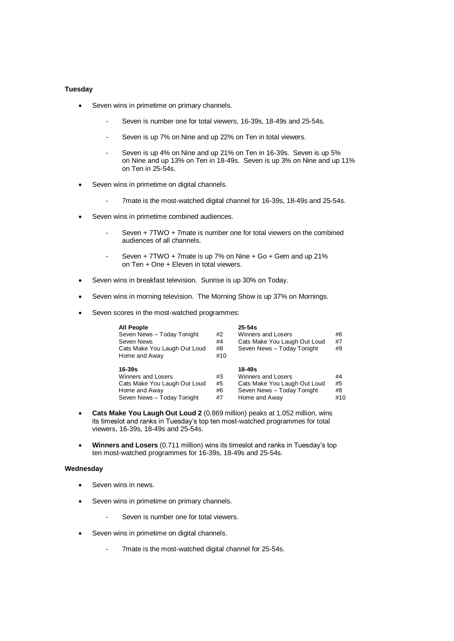## **Tuesday**

- Seven wins in primetime on primary channels.
	- Seven is number one for total viewers, 16-39s, 18-49s and 25-54s.
	- Seven is up 7% on Nine and up 22% on Ten in total viewers.
	- Seven is up 4% on Nine and up 21% on Ten in 16-39s. Seven is up 5% on Nine and up 13% on Ten in 18-49s. Seven is up 3% on Nine and up 11% on Ten in 25-54s.
- Seven wins in primetime on digital channels.
	- 7mate is the most-watched digital channel for 16-39s, 18-49s and 25-54s.
- Seven wins in primetime combined audiences.
	- Seven + 7TWO + 7mate is number one for total viewers on the combined audiences of all channels.
	- Seven + 7TWO + 7mate is up 7% on Nine + Go + Gem and up 21% on Ten + One + Eleven in total viewers.
- Seven wins in breakfast television. Sunrise is up 30% on Today.
- Seven wins in morning television. The Morning Show is up 37% on Mornings.
- Seven scores in the most-watched programmes:

| <b>All People</b><br>Seven News - Today Tonight<br>Seven News<br>Cats Make You Laugh Out Loud<br>Home and Away         | #2<br>#4<br>#8<br>#10 | $25 - 54s$<br>Winners and Losers<br>Cats Make You Laugh Out Loud<br>Seven News - Today Tonight              | #6<br>#7<br>#9        |
|------------------------------------------------------------------------------------------------------------------------|-----------------------|-------------------------------------------------------------------------------------------------------------|-----------------------|
| $16 - 39s$<br><b>Winners and Losers</b><br>Cats Make You Laugh Out Loud<br>Home and Away<br>Seven News - Today Tonight | #3<br>#5<br>#6<br>#7  | 18-49s<br>Winners and Losers<br>Cats Make You Laugh Out Loud<br>Seven News - Today Tonight<br>Home and Away | #4<br>#5<br>#8<br>#10 |

- **Cats Make You Laugh Out Loud 2** (0.869 million) peaks at 1.052 million, wins its timeslot and ranks in Tuesday's top ten most-watched programmes for total viewers, 16-39s, 18-49s and 25-54s.
- **Winners and Losers** (0.711 million) wins its timeslot and ranks in Tuesday's top ten most-watched programmes for 16-39s, 18-49s and 25-54s.

#### **Wednesday**

- Seven wins in news.
- Seven wins in primetime on primary channels.
	- Seven is number one for total viewers.
- Seven wins in primetime on digital channels.
	- 7mate is the most-watched digital channel for 25-54s.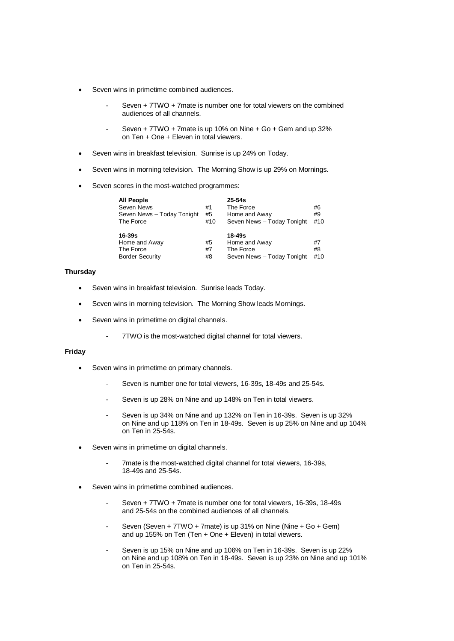- Seven wins in primetime combined audiences.
	- Seven + 7TWO + 7mate is number one for total viewers on the combined audiences of all channels.
	- Seven + 7TWO + 7mate is up 10% on Nine + Go + Gem and up 32% on Ten + One + Eleven in total viewers.
- Seven wins in breakfast television. Sunrise is up 24% on Today.
- Seven wins in morning television. The Morning Show is up 29% on Mornings.
- Seven scores in the most-watched programmes:

| <b>All People</b>          |     | $25 - 54s$                 |     |
|----------------------------|-----|----------------------------|-----|
| Seven News                 | #1  | The Force                  | #6  |
| Seven News - Today Tonight | #5  | Home and Away              | #9  |
| The Force                  | #10 | Seven News - Today Tonight | #10 |
| $16 - 39s$                 |     | 18-49s                     |     |
| Home and Away              | #5  | Home and Away              | #7  |
| The Force                  | #7  | The Force                  | #8  |
| <b>Border Security</b>     | #8  | Seven News - Today Tonight | #10 |

## **Thursday**

- Seven wins in breakfast television. Sunrise leads Today.
- Seven wins in morning television. The Morning Show leads Mornings.
- Seven wins in primetime on digital channels.
	- 7TWO is the most-watched digital channel for total viewers.

### **Friday**

- Seven wins in primetime on primary channels.
	- Seven is number one for total viewers, 16-39s, 18-49s and 25-54s.
	- Seven is up 28% on Nine and up 148% on Ten in total viewers.
	- Seven is up 34% on Nine and up 132% on Ten in 16-39s. Seven is up 32% on Nine and up 118% on Ten in 18-49s. Seven is up 25% on Nine and up 104% on Ten in 25-54s.
- Seven wins in primetime on digital channels.
	- 7mate is the most-watched digital channel for total viewers, 16-39s, 18-49s and 25-54s.
- Seven wins in primetime combined audiences.
	- Seven + 7TWO + 7mate is number one for total viewers, 16-39s, 18-49s and 25-54s on the combined audiences of all channels.
	- Seven (Seven + 7TWO + 7mate) is up 31% on Nine (Nine + Go + Gem) and up 155% on Ten (Ten + One + Eleven) in total viewers.
	- Seven is up 15% on Nine and up 106% on Ten in 16-39s. Seven is up 22% on Nine and up 108% on Ten in 18-49s. Seven is up 23% on Nine and up 101% on Ten in 25-54s.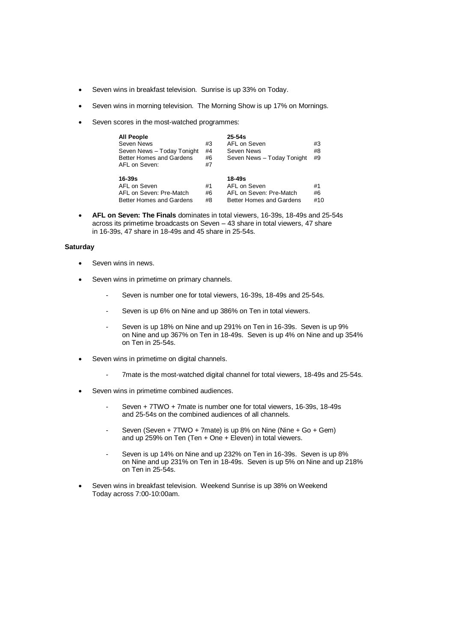- Seven wins in breakfast television. Sunrise is up 33% on Today.
- Seven wins in morning television. The Morning Show is up 17% on Mornings.
- Seven scores in the most-watched programmes:

| <b>All People</b><br>Seven News<br>Seven News - Today Tonight<br>Better Homes and Gardens<br>AFL on Seven: | #3<br>#4<br>#6<br>#7 | 25-54s<br>AFL on Seven<br>Seven News<br>Seven News - Today Tonight            | #3<br>#8<br>#9  |
|------------------------------------------------------------------------------------------------------------|----------------------|-------------------------------------------------------------------------------|-----------------|
| $16 - 39s$<br>AFL on Seven<br>AFL on Seven: Pre-Match<br>Better Homes and Gardens                          | #1<br>#6<br>#8       | 18-49s<br>AFL on Seven<br>AFL on Seven: Pre-Match<br>Better Homes and Gardens | #1<br>#6<br>#10 |

 **AFL on Seven: The Finals** dominates in total viewers, 16-39s, 18-49s and 25-54s across its primetime broadcasts on Seven – 43 share in total viewers, 47 share in 16-39s, 47 share in 18-49s and 45 share in 25-54s.

## **Saturday**

- Seven wins in news.
- Seven wins in primetime on primary channels.
	- Seven is number one for total viewers, 16-39s, 18-49s and 25-54s.
	- Seven is up 6% on Nine and up 386% on Ten in total viewers.
	- Seven is up 18% on Nine and up 291% on Ten in 16-39s. Seven is up 9% on Nine and up 367% on Ten in 18-49s. Seven is up 4% on Nine and up 354% on Ten in 25-54s.
- Seven wins in primetime on digital channels.
	- 7mate is the most-watched digital channel for total viewers, 18-49s and 25-54s.
- Seven wins in primetime combined audiences.
	- Seven + 7TWO + 7mate is number one for total viewers, 16-39s, 18-49s and 25-54s on the combined audiences of all channels.
	- Seven (Seven + 7TWO + 7mate) is up 8% on Nine (Nine + Go + Gem) and up 259% on Ten (Ten + One + Eleven) in total viewers.
	- Seven is up 14% on Nine and up 232% on Ten in 16-39s. Seven is up 8% on Nine and up 231% on Ten in 18-49s. Seven is up 5% on Nine and up 218% on Ten in 25-54s.
- Seven wins in breakfast television. Weekend Sunrise is up 38% on Weekend Today across 7:00-10:00am.